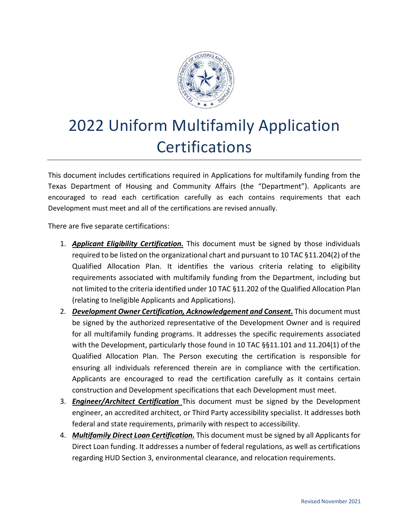

# 2022 Uniform Multifamily Application **Certifications**

This document includes certifications required in Applications for multifamily funding from the Texas Department of Housing and Community Affairs (the "Department"). Applicants are encouraged to read each certification carefully as each contains requirements that each Development must meet and all of the certifications are revised annually.

There are five separate certifications:

- 1. *Applicant Eligibility Certification.* This document must be signed by those individuals required to be listed on the organizational chart and pursuant to 10 TAC §11.204(2) of the Qualified Allocation Plan. It identifies the various criteria relating to eligibility requirements associated with multifamily funding from the Department, including but not limited to the criteria identified under 10 TAC §11.202 of the Qualified Allocation Plan (relating to Ineligible Applicants and Applications).
- 2. *Development Owner Certification, Acknowledgement and Consent.* This document must be signed by the authorized representative of the Development Owner and is required for all multifamily funding programs. It addresses the specific requirements associated with the Development, particularly those found in 10 TAC §§11.101 and 11.204(1) of the Qualified Allocation Plan. The Person executing the certification is responsible for ensuring all individuals referenced therein are in compliance with the certification. Applicants are encouraged to read the certification carefully as it contains certain construction and Development specifications that each Development must meet.
- 3. *Engineer/Architect Certification* This document must be signed by the Development engineer, an accredited architect, or Third Party accessibility specialist. It addresses both federal and state requirements, primarily with respect to accessibility.
- 4. *Multifamily Direct Loan Certification.* This document must be signed by all Applicants for Direct Loan funding. It addresses a number of federal regulations, as well as certifications regarding HUD Section 3, environmental clearance, and relocation requirements.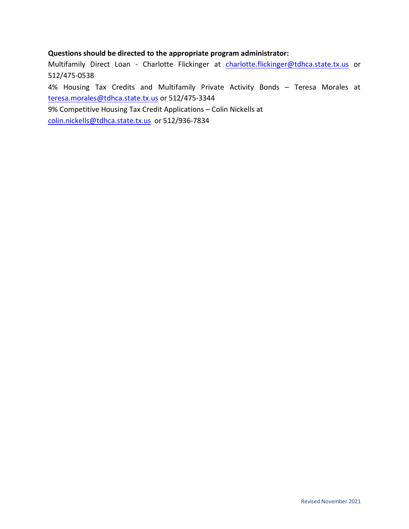# **Questions should be directed to the appropriate program administrator:**

Multifamily Direct Loan - Charlotte Flickinger at [charlotte.flickinger@tdhca.state.tx.us](mailto:charlotte.flickinger@tdhca.state.tx.us) or 512/475-0538

4% Housing Tax Credits and Multifamily Private Activity Bonds – Teresa Morales at [teresa.morales@tdhca.state.tx.us](mailto:teresa.morales@tdhca.state.tx.us) or 512/475-3344

9% Competitive Housing Tax Credit Applications – Colin Nickells at

[colin.nickells@tdhca.state.tx.us](mailto:colin.nickells@tdhca.state.tx.us) or 512/936-7834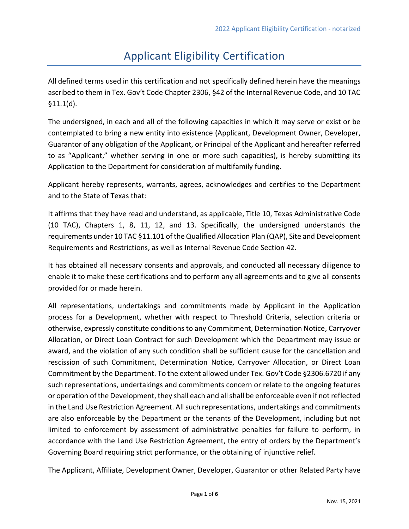# Applicant Eligibility Certification

All defined terms used in this certification and not specifically defined herein have the meanings ascribed to them in Tex. Gov't Code Chapter 2306, §42 of the Internal Revenue Code, and 10 TAC §11.1(d).

The undersigned, in each and all of the following capacities in which it may serve or exist or be contemplated to bring a new entity into existence (Applicant, Development Owner, Developer, Guarantor of any obligation of the Applicant, or Principal of the Applicant and hereafter referred to as "Applicant," whether serving in one or more such capacities), is hereby submitting its Application to the Department for consideration of multifamily funding.

Applicant hereby represents, warrants, agrees, acknowledges and certifies to the Department and to the State of Texas that:

It affirms that they have read and understand, as applicable, Title 10, Texas Administrative Code (10 TAC), Chapters 1, 8, 11, 12, and 13. Specifically, the undersigned understands the requirements under 10 TAC §11.101 of the Qualified Allocation Plan (QAP), Site and Development Requirements and Restrictions, as well as Internal Revenue Code Section 42.

It has obtained all necessary consents and approvals, and conducted all necessary diligence to enable it to make these certifications and to perform any all agreements and to give all consents provided for or made herein.

All representations, undertakings and commitments made by Applicant in the Application process for a Development, whether with respect to Threshold Criteria, selection criteria or otherwise, expressly constitute conditions to any Commitment, Determination Notice, Carryover Allocation, or Direct Loan Contract for such Development which the Department may issue or award, and the violation of any such condition shall be sufficient cause for the cancellation and rescission of such Commitment, Determination Notice, Carryover Allocation, or Direct Loan Commitment by the Department. To the extent allowed under Tex. Gov't Code §2306.6720 if any such representations, undertakings and commitments concern or relate to the ongoing features or operation of the Development, they shall each and all shall be enforceable even if not reflected in the Land Use Restriction Agreement. All such representations, undertakings and commitments are also enforceable by the Department or the tenants of the Development, including but not limited to enforcement by assessment of administrative penalties for failure to perform, in accordance with the Land Use Restriction Agreement, the entry of orders by the Department's Governing Board requiring strict performance, or the obtaining of injunctive relief.

The Applicant, Affiliate, Development Owner, Developer, Guarantor or other Related Party have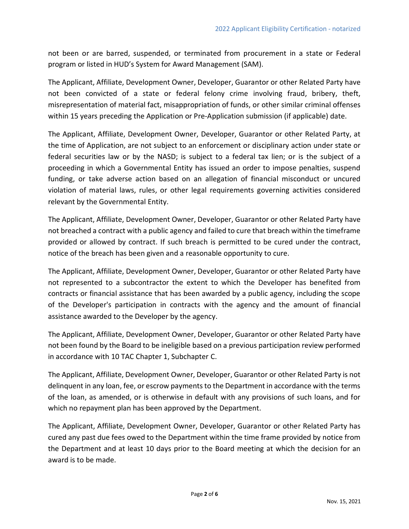not been or are barred, suspended, or terminated from procurement in a state or Federal program or listed in HUD's System for Award Management (SAM).

The Applicant, Affiliate, Development Owner, Developer, Guarantor or other Related Party have not been convicted of a state or federal felony crime involving fraud, bribery, theft, misrepresentation of material fact, misappropriation of funds, or other similar criminal offenses within 15 years preceding the Application or Pre-Application submission (if applicable) date.

The Applicant, Affiliate, Development Owner, Developer, Guarantor or other Related Party, at the time of Application, are not subject to an enforcement or disciplinary action under state or federal securities law or by the NASD; is subject to a federal tax lien; or is the subject of a proceeding in which a Governmental Entity has issued an order to impose penalties, suspend funding, or take adverse action based on an allegation of financial misconduct or uncured violation of material laws, rules, or other legal requirements governing activities considered relevant by the Governmental Entity.

The Applicant, Affiliate, Development Owner, Developer, Guarantor or other Related Party have not breached a contract with a public agency and failed to cure that breach within the timeframe provided or allowed by contract. If such breach is permitted to be cured under the contract, notice of the breach has been given and a reasonable opportunity to cure.

The Applicant, Affiliate, Development Owner, Developer, Guarantor or other Related Party have not represented to a subcontractor the extent to which the Developer has benefited from contracts or financial assistance that has been awarded by a public agency, including the scope of the Developer's participation in contracts with the agency and the amount of financial assistance awarded to the Developer by the agency.

The Applicant, Affiliate, Development Owner, Developer, Guarantor or other Related Party have not been found by the Board to be ineligible based on a previous participation review performed in accordance with 10 TAC Chapter 1, Subchapter C.

The Applicant, Affiliate, Development Owner, Developer, Guarantor or other Related Party is not delinquent in any loan, fee, or escrow payments to the Department in accordance with the terms of the loan, as amended, or is otherwise in default with any provisions of such loans, and for which no repayment plan has been approved by the Department.

The Applicant, Affiliate, Development Owner, Developer, Guarantor or other Related Party has cured any past due fees owed to the Department within the time frame provided by notice from the Department and at least 10 days prior to the Board meeting at which the decision for an award is to be made.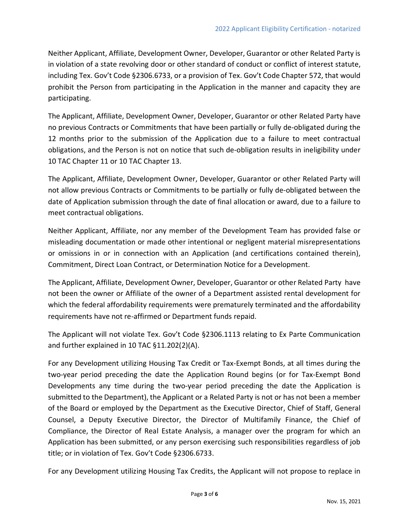Neither Applicant, Affiliate, Development Owner, Developer, Guarantor or other Related Party is in violation of a state revolving door or other standard of conduct or conflict of interest statute, including Tex. Gov't Code §2306.6733, or a provision of Tex. Gov't Code Chapter 572, that would prohibit the Person from participating in the Application in the manner and capacity they are participating.

The Applicant, Affiliate, Development Owner, Developer, Guarantor or other Related Party have no previous Contracts or Commitments that have been partially or fully de-obligated during the 12 months prior to the submission of the Application due to a failure to meet contractual obligations, and the Person is not on notice that such de-obligation results in ineligibility under 10 TAC Chapter 11 or 10 TAC Chapter 13.

The Applicant, Affiliate, Development Owner, Developer, Guarantor or other Related Party will not allow previous Contracts or Commitments to be partially or fully de-obligated between the date of Application submission through the date of final allocation or award, due to a failure to meet contractual obligations.

Neither Applicant, Affiliate, nor any member of the Development Team has provided false or misleading documentation or made other intentional or negligent material misrepresentations or omissions in or in connection with an Application (and certifications contained therein), Commitment, Direct Loan Contract, or Determination Notice for a Development.

The Applicant, Affiliate, Development Owner, Developer, Guarantor or other Related Party have not been the owner or Affiliate of the owner of a Department assisted rental development for which the federal affordability requirements were prematurely terminated and the affordability requirements have not re-affirmed or Department funds repaid.

The Applicant will not violate Tex. Gov't Code §2306.1113 relating to Ex Parte Communication and further explained in 10 TAC §11.202(2)(A).

For any Development utilizing Housing Tax Credit or Tax-Exempt Bonds, at all times during the two-year period preceding the date the Application Round begins (or for Tax-Exempt Bond Developments any time during the two-year period preceding the date the Application is submitted to the Department), the Applicant or a Related Party is not or has not been a member of the Board or employed by the Department as the Executive Director, Chief of Staff, General Counsel, a Deputy Executive Director, the Director of Multifamily Finance, the Chief of Compliance, the Director of Real Estate Analysis, a manager over the program for which an Application has been submitted, or any person exercising such responsibilities regardless of job title; or in violation of Tex. Gov't Code §2306.6733.

For any Development utilizing Housing Tax Credits, the Applicant will not propose to replace in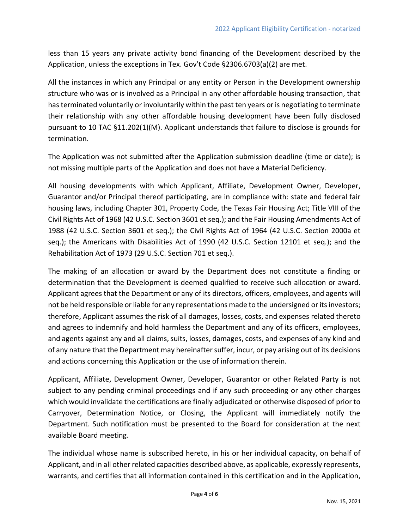less than 15 years any private activity bond financing of the Development described by the Application, unless the exceptions in Tex. Gov't Code §2306.6703(a)(2) are met.

All the instances in which any Principal or any entity or Person in the Development ownership structure who was or is involved as a Principal in any other affordable housing transaction, that has terminated voluntarily or involuntarily within the past ten years or is negotiating to terminate their relationship with any other affordable housing development have been fully disclosed pursuant to 10 TAC §11.202(1)(M). Applicant understands that failure to disclose is grounds for termination.

The Application was not submitted after the Application submission deadline (time or date); is not missing multiple parts of the Application and does not have a Material Deficiency.

All housing developments with which Applicant, Affiliate, Development Owner, Developer, Guarantor and/or Principal thereof participating, are in compliance with: state and federal fair housing laws, including Chapter 301, Property Code, the Texas Fair Housing Act; Title VIII of the Civil Rights Act of 1968 (42 U.S.C. Section 3601 et seq.); and the Fair Housing Amendments Act of 1988 (42 U.S.C. Section 3601 et seq.); the Civil Rights Act of 1964 (42 U.S.C. Section 2000a et seq.); the Americans with Disabilities Act of 1990 (42 U.S.C. Section 12101 et seq.); and the Rehabilitation Act of 1973 (29 U.S.C. Section 701 et seq.).

The making of an allocation or award by the Department does not constitute a finding or determination that the Development is deemed qualified to receive such allocation or award. Applicant agrees that the Department or any of its directors, officers, employees, and agents will not be held responsible or liable for any representations made to the undersigned or its investors; therefore, Applicant assumes the risk of all damages, losses, costs, and expenses related thereto and agrees to indemnify and hold harmless the Department and any of its officers, employees, and agents against any and all claims, suits, losses, damages, costs, and expenses of any kind and of any nature that the Department may hereinafter suffer, incur, or pay arising out of its decisions and actions concerning this Application or the use of information therein.

Applicant, Affiliate, Development Owner, Developer, Guarantor or other Related Party is not subject to any pending criminal proceedings and if any such proceeding or any other charges which would invalidate the certifications are finally adjudicated or otherwise disposed of prior to Carryover, Determination Notice, or Closing, the Applicant will immediately notify the Department. Such notification must be presented to the Board for consideration at the next available Board meeting.

The individual whose name is subscribed hereto, in his or her individual capacity, on behalf of Applicant, and in all other related capacities described above, as applicable, expressly represents, warrants, and certifies that all information contained in this certification and in the Application,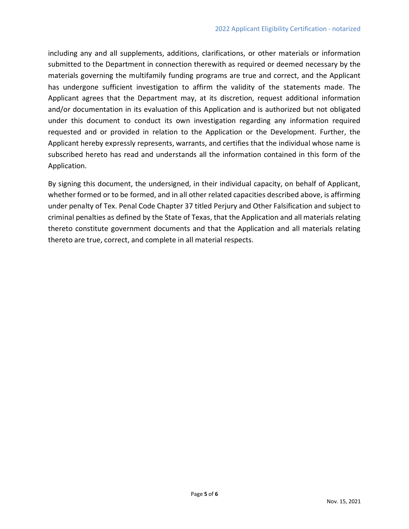including any and all supplements, additions, clarifications, or other materials or information submitted to the Department in connection therewith as required or deemed necessary by the materials governing the multifamily funding programs are true and correct, and the Applicant has undergone sufficient investigation to affirm the validity of the statements made. The Applicant agrees that the Department may, at its discretion, request additional information and/or documentation in its evaluation of this Application and is authorized but not obligated under this document to conduct its own investigation regarding any information required requested and or provided in relation to the Application or the Development. Further, the Applicant hereby expressly represents, warrants, and certifies that the individual whose name is subscribed hereto has read and understands all the information contained in this form of the Application.

By signing this document, the undersigned, in their individual capacity, on behalf of Applicant, whether formed or to be formed, and in all other related capacities described above, is affirming under penalty of Tex. Penal Code Chapter 37 titled Perjury and Other Falsification and subject to criminal penalties as defined by the State of Texas, that the Application and all materials relating thereto constitute government documents and that the Application and all materials relating thereto are true, correct, and complete in all material respects.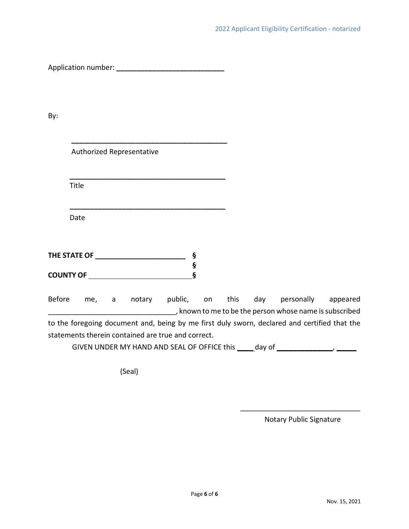Application number: **\_\_\_\_\_\_\_\_\_\_\_\_\_\_\_\_\_\_\_\_\_\_\_\_\_\_\_**

By:

|               |                                                                                                                                                                                                                                      | Authorized Representative |         |                   |  |                                                                                              |  |
|---------------|--------------------------------------------------------------------------------------------------------------------------------------------------------------------------------------------------------------------------------------|---------------------------|---------|-------------------|--|----------------------------------------------------------------------------------------------|--|
|               |                                                                                                                                                                                                                                      |                           |         |                   |  |                                                                                              |  |
|               | Title                                                                                                                                                                                                                                |                           |         |                   |  |                                                                                              |  |
|               |                                                                                                                                                                                                                                      |                           |         |                   |  |                                                                                              |  |
|               | Date                                                                                                                                                                                                                                 |                           |         |                   |  |                                                                                              |  |
|               |                                                                                                                                                                                                                                      |                           |         |                   |  |                                                                                              |  |
|               |                                                                                                                                                                                                                                      |                           |         | ş                 |  |                                                                                              |  |
|               | <b>COUNTY OF THE COUNTY OF THE COUNTY OF THE COUNTY OF THE COUNTY OF THE COUNTY OF THE COUNTY OF THE COUNTY OF THE COUNTY OF THE COUNTY OF THE COUNTY OF THE COUNTY OF THE COUNTY OF THE COUNTY OF THE COUNTY OF THE COUNTY OF T</b> |                           |         | $\boldsymbol{\S}$ |  |                                                                                              |  |
| <b>Before</b> | me, a                                                                                                                                                                                                                                | notary                    | public, | on                |  | this day personally appeared                                                                 |  |
|               |                                                                                                                                                                                                                                      |                           |         |                   |  | _, known to me to be the person whose name is subscribed                                     |  |
|               |                                                                                                                                                                                                                                      |                           |         |                   |  | to the foregoing document and, being by me first duly sworn, declared and certified that the |  |

statements therein contained are true and correct.

GIVEN UNDER MY HAND AND SEAL OF OFFICE this **\_\_\_\_** day of **\_\_\_\_\_\_\_\_\_\_\_\_\_\_**, **\_\_\_\_\_**

(Seal)

 $\overline{\phantom{a}}$  , where  $\overline{\phantom{a}}$  , where  $\overline{\phantom{a}}$  , where  $\overline{\phantom{a}}$ Notary Public Signature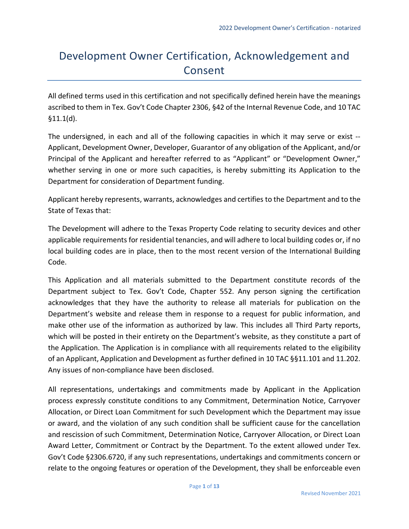# Development Owner Certification, Acknowledgement and Consent

All defined terms used in this certification and not specifically defined herein have the meanings ascribed to them in Tex. Gov't Code Chapter 2306, §42 of the Internal Revenue Code, and 10 TAC §11.1(d).

The undersigned, in each and all of the following capacities in which it may serve or exist -- Applicant, Development Owner, Developer, Guarantor of any obligation of the Applicant, and/or Principal of the Applicant and hereafter referred to as "Applicant" or "Development Owner," whether serving in one or more such capacities, is hereby submitting its Application to the Department for consideration of Department funding.

Applicant hereby represents, warrants, acknowledges and certifies to the Department and to the State of Texas that:

The Development will adhere to the Texas Property Code relating to security devices and other applicable requirements for residential tenancies, and will adhere to local building codes or, if no local building codes are in place, then to the most recent version of the International Building Code.

This Application and all materials submitted to the Department constitute records of the Department subject to Tex. Gov't Code, Chapter 552. Any person signing the certification acknowledges that they have the authority to release all materials for publication on the Department's website and release them in response to a request for public information, and make other use of the information as authorized by law. This includes all Third Party reports, which will be posted in their entirety on the Department's website, as they constitute a part of the Application. The Application is in compliance with all requirements related to the eligibility of an Applicant, Application and Development as further defined in 10 TAC §§11.101 and 11.202. Any issues of non-compliance have been disclosed.

All representations, undertakings and commitments made by Applicant in the Application process expressly constitute conditions to any Commitment, Determination Notice, Carryover Allocation, or Direct Loan Commitment for such Development which the Department may issue or award, and the violation of any such condition shall be sufficient cause for the cancellation and rescission of such Commitment, Determination Notice, Carryover Allocation, or Direct Loan Award Letter, Commitment or Contract by the Department. To the extent allowed under Tex. Gov't Code §2306.6720, if any such representations, undertakings and commitments concern or relate to the ongoing features or operation of the Development, they shall be enforceable even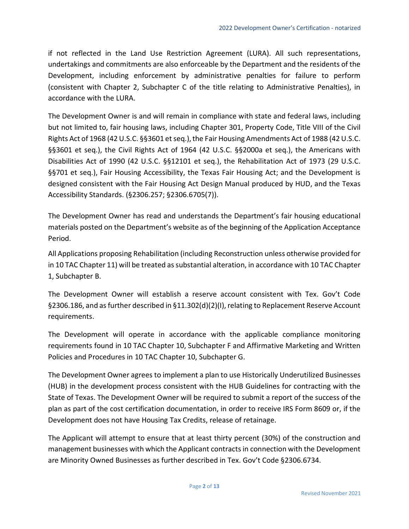if not reflected in the Land Use Restriction Agreement (LURA). All such representations, undertakings and commitments are also enforceable by the Department and the residents of the Development, including enforcement by administrative penalties for failure to perform (consistent with Chapter 2, Subchapter C of the title relating to Administrative Penalties), in accordance with the LURA.

The Development Owner is and will remain in compliance with state and federal laws, including but not limited to, fair housing laws, including Chapter 301, Property Code, Title VIII of the Civil Rights Act of 1968 (42 U.S.C. §§3601 et seq.), the Fair Housing Amendments Act of 1988 (42 U.S.C. §§3601 et seq.), the Civil Rights Act of 1964 (42 U.S.C. §§2000a et seq.), the Americans with Disabilities Act of 1990 (42 U.S.C. §§12101 et seq.), the Rehabilitation Act of 1973 (29 U.S.C. §§701 et seq.), Fair Housing Accessibility, the Texas Fair Housing Act; and the Development is designed consistent with the Fair Housing Act Design Manual produced by HUD, and the Texas Accessibility Standards. (§2306.257; §2306.6705(7)).

The Development Owner has read and understands the Department's fair housing educational materials posted on the Department's website as of the beginning of the Application Acceptance Period.

All Applications proposing Rehabilitation (including Reconstruction unless otherwise provided for in 10 TAC Chapter 11) will be treated as substantial alteration, in accordance with 10 TAC Chapter 1, Subchapter B.

The Development Owner will establish a reserve account consistent with Tex. Gov't Code §2306.186, and as further described in §11.302(d)(2)(I), relating to Replacement Reserve Account requirements.

The Development will operate in accordance with the applicable compliance monitoring requirements found in 10 TAC Chapter 10, Subchapter F and Affirmative Marketing and Written Policies and Procedures in 10 TAC Chapter 10, Subchapter G.

The Development Owner agrees to implement a plan to use Historically Underutilized Businesses (HUB) in the development process consistent with the HUB Guidelines for contracting with the State of Texas. The Development Owner will be required to submit a report of the success of the plan as part of the cost certification documentation, in order to receive IRS Form 8609 or, if the Development does not have Housing Tax Credits, release of retainage.

The Applicant will attempt to ensure that at least thirty percent (30%) of the construction and management businesses with which the Applicant contracts in connection with the Development are Minority Owned Businesses as further described in Tex. Gov't Code §2306.6734.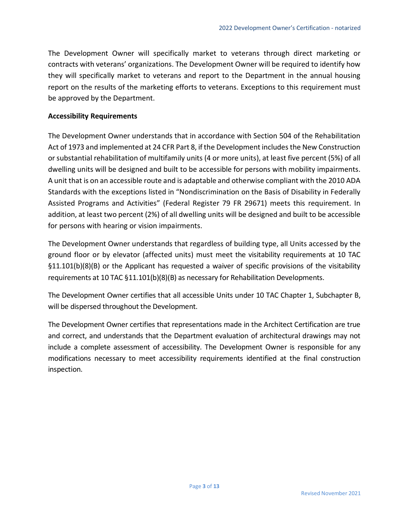The Development Owner will specifically market to veterans through direct marketing or contracts with veterans' organizations. The Development Owner will be required to identify how they will specifically market to veterans and report to the Department in the annual housing report on the results of the marketing efforts to veterans. Exceptions to this requirement must be approved by the Department.

### **Accessibility Requirements**

The Development Owner understands that in accordance with Section 504 of the Rehabilitation Act of 1973 and implemented at 24 CFR Part 8, if the Development includes the New Construction or substantial rehabilitation of multifamily units (4 or more units), at least five percent (5%) of all dwelling units will be designed and built to be accessible for persons with mobility impairments. A unit that is on an accessible route and is adaptable and otherwise compliant with the 2010 ADA Standards with the exceptions listed in "Nondiscrimination on the Basis of Disability in Federally Assisted Programs and Activities" (Federal Register 79 FR 29671) meets this requirement. In addition, at least two percent (2%) of all dwelling units will be designed and built to be accessible for persons with hearing or vision impairments.

The Development Owner understands that regardless of building type, all Units accessed by the ground floor or by elevator (affected units) must meet the visitability requirements at 10 TAC §11.101(b)(8)(B) or the Applicant has requested a waiver of specific provisions of the visitability requirements at 10 TAC §11.101(b)(8)(B) as necessary for Rehabilitation Developments.

The Development Owner certifies that all accessible Units under 10 TAC Chapter 1, Subchapter B, will be dispersed throughout the Development.

The Development Owner certifies that representations made in the Architect Certification are true and correct, and understands that the Department evaluation of architectural drawings may not include a complete assessment of accessibility. The Development Owner is responsible for any modifications necessary to meet accessibility requirements identified at the final construction inspection.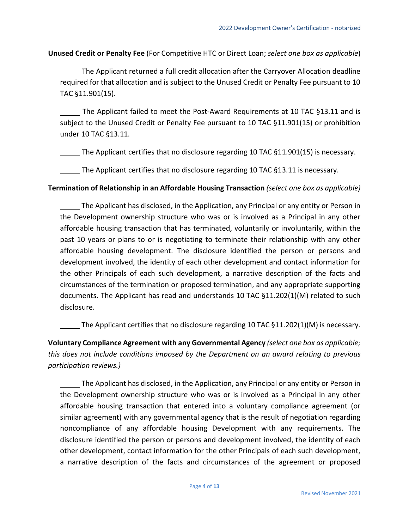**Unused Credit or Penalty Fee** (For Competitive HTC or Direct Loan; *select one box as applicable*)

The Applicant returned a full credit allocation after the Carryover Allocation deadline required for that allocation and is subject to the Unused Credit or Penalty Fee pursuant to 10 TAC §11.901(15).

The Applicant failed to meet the Post-Award Requirements at 10 TAC §13.11 and is subject to the Unused Credit or Penalty Fee pursuant to 10 TAC §11.901(15) or prohibition under 10 TAC §13.11.

The Applicant certifies that no disclosure regarding 10 TAC §11.901(15) is necessary.

The Applicant certifies that no disclosure regarding 10 TAC §13.11 is necessary.

**Termination of Relationship in an Affordable Housing Transaction** *(select one box as applicable)*

The Applicant has disclosed, in the Application, any Principal or any entity or Person in the Development ownership structure who was or is involved as a Principal in any other affordable housing transaction that has terminated, voluntarily or involuntarily, within the past 10 years or plans to or is negotiating to terminate their relationship with any other affordable housing development. The disclosure identified the person or persons and development involved, the identity of each other development and contact information for the other Principals of each such development, a narrative description of the facts and circumstances of the termination or proposed termination, and any appropriate supporting documents. The Applicant has read and understands 10 TAC §11.202(1)(M) related to such disclosure.

The Applicant certifies that no disclosure regarding 10 TAC  $\S$ 11.202(1)(M) is necessary.

**Voluntary Compliance Agreement with any Governmental Agency** *(select one box as applicable; this does not include conditions imposed by the Department on an award relating to previous participation reviews.)*

The Applicant has disclosed, in the Application, any Principal or any entity or Person in the Development ownership structure who was or is involved as a Principal in any other affordable housing transaction that entered into a voluntary compliance agreement (or similar agreement) with any governmental agency that is the result of negotiation regarding noncompliance of any affordable housing Development with any requirements. The disclosure identified the person or persons and development involved, the identity of each other development, contact information for the other Principals of each such development, a narrative description of the facts and circumstances of the agreement or proposed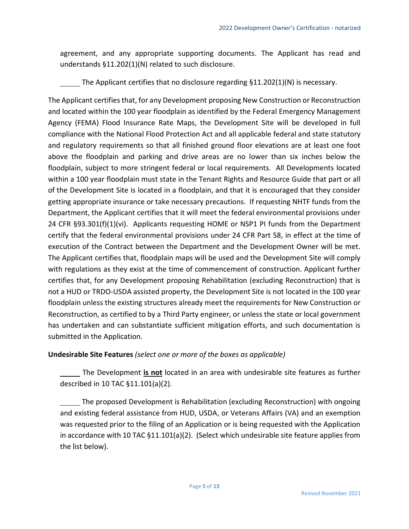agreement, and any appropriate supporting documents. The Applicant has read and understands §11.202(1)(N) related to such disclosure.

The Applicant certifies that no disclosure regarding §11.202(1)(N) is necessary.

The Applicant certifies that, for any Development proposing New Construction or Reconstruction and located within the 100 year floodplain as identified by the Federal Emergency Management Agency (FEMA) Flood Insurance Rate Maps, the Development Site will be developed in full compliance with the National Flood Protection Act and all applicable federal and state statutory and regulatory requirements so that all finished ground floor elevations are at least one foot above the floodplain and parking and drive areas are no lower than six inches below the floodplain, subject to more stringent federal or local requirements. All Developments located within a 100 year floodplain must state in the Tenant Rights and Resource Guide that part or all of the Development Site is located in a floodplain, and that it is encouraged that they consider getting appropriate insurance or take necessary precautions. If requesting NHTF funds from the Department, the Applicant certifies that it will meet the federal environmental provisions under 24 CFR §93.301(f)(1)(vi). Applicants requesting HOME or NSP1 PI funds from the Department certify that the federal environmental provisions under 24 CFR Part 58, in effect at the time of execution of the Contract between the Department and the Development Owner will be met. The Applicant certifies that, floodplain maps will be used and the Development Site will comply with regulations as they exist at the time of commencement of construction. Applicant further certifies that, for any Development proposing Rehabilitation (excluding Reconstruction) that is not a HUD or TRDO-USDA assisted property, the Development Site is not located in the 100 year floodplain unless the existing structures already meet the requirements for New Construction or Reconstruction, as certified to by a Third Party engineer, or unless the state or local government has undertaken and can substantiate sufficient mitigation efforts, and such documentation is submitted in the Application.

# **Undesirable Site Features** *(select one or more of the boxes as applicable)*

The Development **is not** located in an area with undesirable site features as further described in 10 TAC §11.101(a)(2).

The proposed Development is Rehabilitation (excluding Reconstruction) with ongoing and existing federal assistance from HUD, USDA, or Veterans Affairs (VA) and an exemption was requested prior to the filing of an Application or is being requested with the Application in accordance with 10 TAC §11.101(a)(2). (Select which undesirable site feature applies from the list below).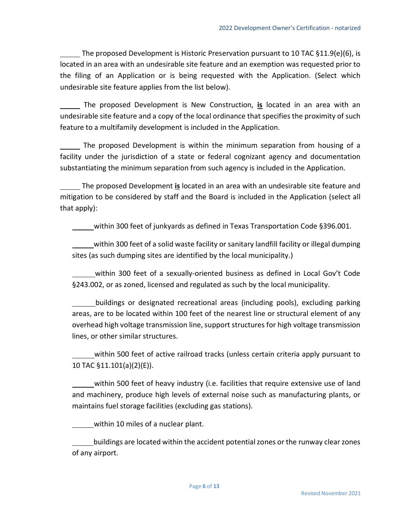The proposed Development is Historic Preservation pursuant to 10 TAC §11.9(e)(6), is located in an area with an undesirable site feature and an exemption was requested prior to the filing of an Application or is being requested with the Application. (Select which undesirable site feature applies from the list below).

The proposed Development is New Construction, **is** located in an area with an undesirable site feature and a copy of the local ordinance that specifies the proximity of such feature to a multifamily development is included in the Application.

The proposed Development is within the minimum separation from housing of a facility under the jurisdiction of a state or federal cognizant agency and documentation substantiating the minimum separation from such agency is included in the Application.

The proposed Development **is** located in an area with an undesirable site feature and mitigation to be considered by staff and the Board is included in the Application (select all that apply):

within 300 feet of junkyards as defined in Texas Transportation Code §396.001.

within 300 feet of a solid waste facility or sanitary landfill facility or illegal dumping sites (as such dumping sites are identified by the local municipality.)

within 300 feet of a sexually-oriented business as defined in Local Gov't Code §243.002, or as zoned, licensed and regulated as such by the local municipality.

buildings or designated recreational areas (including pools), excluding parking areas, are to be located within 100 feet of the nearest line or structural element of any overhead high voltage transmission line, support structures for high voltage transmission lines, or other similar structures.

within 500 feet of active railroad tracks (unless certain criteria apply pursuant to 10 TAC §11.101(a)(2)(E)).

within 500 feet of heavy industry (i.e. facilities that require extensive use of land and machinery, produce high levels of external noise such as manufacturing plants, or maintains fuel storage facilities (excluding gas stations).

within 10 miles of a nuclear plant.

buildings are located within the accident potential zones or the runway clear zones of any airport.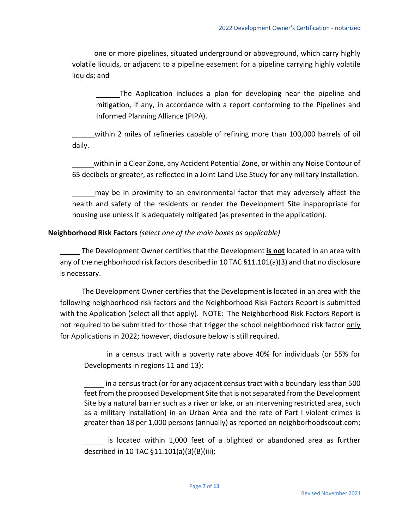one or more pipelines, situated underground or aboveground, which carry highly volatile liquids, or adjacent to a pipeline easement for a pipeline carrying highly volatile liquids; and

The Application includes a plan for developing near the pipeline and mitigation, if any, in accordance with a report conforming to the Pipelines and Informed Planning Alliance (PIPA).

within 2 miles of refineries capable of refining more than 100,000 barrels of oil daily.

within in a Clear Zone, any Accident Potential Zone, or within any Noise Contour of 65 decibels or greater, as reflected in a Joint Land Use Study for any military Installation.

may be in proximity to an environmental factor that may adversely affect the health and safety of the residents or render the Development Site inappropriate for housing use unless it is adequately mitigated (as presented in the application).

### **Neighborhood Risk Factors** *(select one of the main boxes as applicable)*

The Development Owner certifies that the Development **is not** located in an area with any of the neighborhood risk factors described in 10 TAC §11.101(a)(3) and that no disclosure is necessary.

The Development Owner certifies that the Development **is** located in an area with the following neighborhood risk factors and the Neighborhood Risk Factors Report is submitted with the Application (select all that apply). NOTE: The Neighborhood Risk Factors Report is not required to be submitted for those that trigger the school neighborhood risk factor only for Applications in 2022; however, disclosure below is still required.

in a census tract with a poverty rate above 40% for individuals (or 55% for Developments in regions 11 and 13);

in a census tract (or for any adjacent census tract with a boundary less than 500 feet from the proposed Development Site that is not separated from the Development Site by a natural barrier such as a river or lake, or an intervening restricted area, such as a military installation) in an Urban Area and the rate of Part I violent crimes is greater than 18 per 1,000 persons (annually) as reported on neighborhoodscout.com;

is located within 1,000 feet of a blighted or abandoned area as further described in 10 TAC §11.101(a)(3)(B)(iii);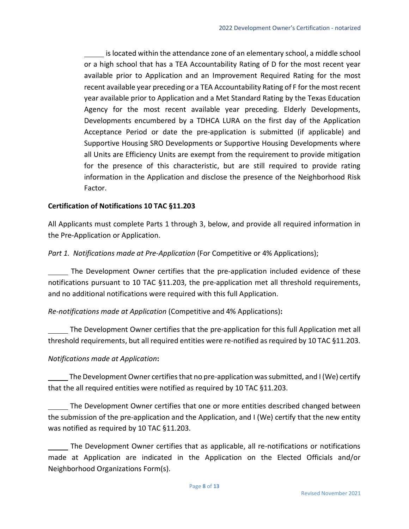is located within the attendance zone of an elementary school, a middle school or a high school that has a TEA Accountability Rating of D for the most recent year available prior to Application and an Improvement Required Rating for the most recent available year preceding or a TEA Accountability Rating of F for the most recent year available prior to Application and a Met Standard Rating by the Texas Education Agency for the most recent available year preceding. Elderly Developments, Developments encumbered by a TDHCA LURA on the first day of the Application Acceptance Period or date the pre-application is submitted (if applicable) and Supportive Housing SRO Developments or Supportive Housing Developments where all Units are Efficiency Units are exempt from the requirement to provide mitigation for the presence of this characteristic, but are still required to provide rating information in the Application and disclose the presence of the Neighborhood Risk Factor.

### **Certification of Notifications 10 TAC §11.203**

All Applicants must complete Parts 1 through 3, below, and provide all required information in the Pre-Application or Application.

*Part 1. Notifications made at Pre-Application* (For Competitive or 4% Applications);

The Development Owner certifies that the pre-application included evidence of these notifications pursuant to 10 TAC §11.203, the pre-application met all threshold requirements, and no additional notifications were required with this full Application.

*Re-notifications made at Application* (Competitive and 4% Applications)**:**

The Development Owner certifies that the pre-application for this full Application met all threshold requirements, but all required entities were re-notified as required by 10 TAC §11.203.

# *Notifications made at Application***:**

The Development Owner certifies that no pre-application was submitted, and I (We) certify that the all required entities were notified as required by 10 TAC §11.203.

The Development Owner certifies that one or more entities described changed between the submission of the pre-application and the Application, and I (We) certify that the new entity was notified as required by 10 TAC §11.203.

The Development Owner certifies that as applicable, all re-notifications or notifications made at Application are indicated in the Application on the Elected Officials and/or Neighborhood Organizations Form(s).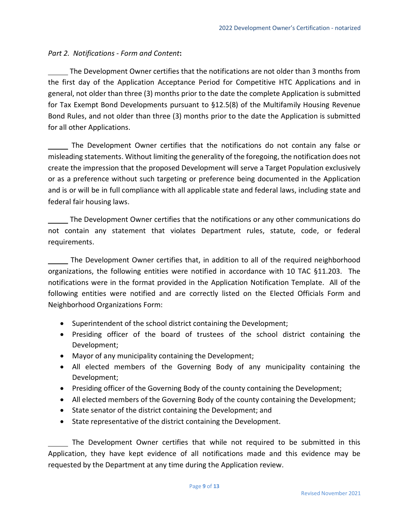# *Part 2. Notifications - Form and Content***:**

The Development Owner certifies that the notifications are not older than 3 months from the first day of the Application Acceptance Period for Competitive HTC Applications and in general, not older than three (3) months prior to the date the complete Application is submitted for Tax Exempt Bond Developments pursuant to §12.5(8) of the Multifamily Housing Revenue Bond Rules, and not older than three (3) months prior to the date the Application is submitted for all other Applications.

The Development Owner certifies that the notifications do not contain any false or misleading statements. Without limiting the generality of the foregoing, the notification does not create the impression that the proposed Development will serve a Target Population exclusively or as a preference without such targeting or preference being documented in the Application and is or will be in full compliance with all applicable state and federal laws, including state and federal fair housing laws.

The Development Owner certifies that the notifications or any other communications do not contain any statement that violates Department rules, statute, code, or federal requirements.

The Development Owner certifies that, in addition to all of the required neighborhood organizations, the following entities were notified in accordance with 10 TAC §11.203. The notifications were in the format provided in the Application Notification Template. All of the following entities were notified and are correctly listed on the Elected Officials Form and Neighborhood Organizations Form:

- Superintendent of the school district containing the Development;
- Presiding officer of the board of trustees of the school district containing the Development;
- Mayor of any municipality containing the Development;
- All elected members of the Governing Body of any municipality containing the Development;
- Presiding officer of the Governing Body of the county containing the Development;
- All elected members of the Governing Body of the county containing the Development;
- State senator of the district containing the Development; and
- State representative of the district containing the Development.

The Development Owner certifies that while not required to be submitted in this Application, they have kept evidence of all notifications made and this evidence may be requested by the Department at any time during the Application review.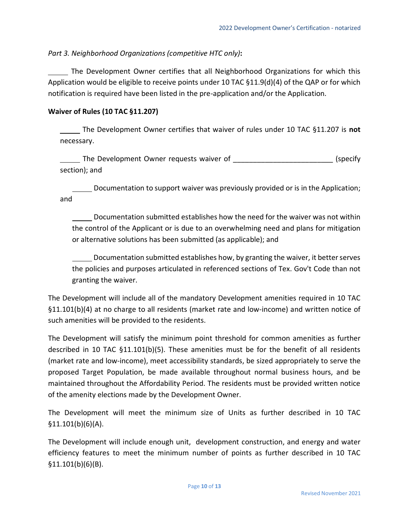*Part 3. Neighborhood Organizations (competitive HTC only)***:**

The Development Owner certifies that all Neighborhood Organizations for which this Application would be eligible to receive points under 10 TAC §11.9(d)(4) of the QAP or for which notification is required have been listed in the pre-application and/or the Application.

# **Waiver of Rules (10 TAC §11.207)**

The Development Owner certifies that waiver of rules under 10 TAC §11.207 is **not** necessary.

The Development Owner requests waiver of **Example 2018** (specify section); and

Documentation to support waiver was previously provided or is in the Application; and

Documentation submitted establishes how the need for the waiver was not within the control of the Applicant or is due to an overwhelming need and plans for mitigation or alternative solutions has been submitted (as applicable); and

Documentation submitted establishes how, by granting the waiver, it better serves the policies and purposes articulated in referenced sections of Tex. Gov't Code than not granting the waiver.

The Development will include all of the mandatory Development amenities required in 10 TAC §11.101(b)(4) at no charge to all residents (market rate and low-income) and written notice of such amenities will be provided to the residents.

The Development will satisfy the minimum point threshold for common amenities as further described in 10 TAC §11.101(b)(5). These amenities must be for the benefit of all residents (market rate and low-income), meet accessibility standards, be sized appropriately to serve the proposed Target Population, be made available throughout normal business hours, and be maintained throughout the Affordability Period. The residents must be provided written notice of the amenity elections made by the Development Owner.

The Development will meet the minimum size of Units as further described in 10 TAC  $$11.101(b)(6)(A).$ 

The Development will include enough unit, development construction, and energy and water efficiency features to meet the minimum number of points as further described in 10 TAC §11.101(b)(6)(B).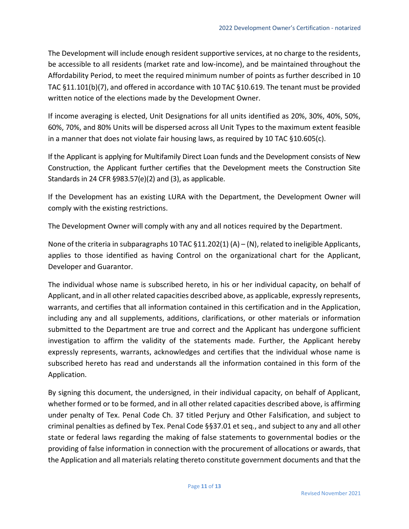The Development will include enough resident supportive services, at no charge to the residents, be accessible to all residents (market rate and low-income), and be maintained throughout the Affordability Period, to meet the required minimum number of points as further described in 10 TAC §11.101(b)(7), and offered in accordance with 10 TAC §10.619. The tenant must be provided written notice of the elections made by the Development Owner.

If income averaging is elected, Unit Designations for all units identified as 20%, 30%, 40%, 50%, 60%, 70%, and 80% Units will be dispersed across all Unit Types to the maximum extent feasible in a manner that does not violate fair housing laws, as required by 10 TAC §10.605(c).

If the Applicant is applying for Multifamily Direct Loan funds and the Development consists of New Construction, the Applicant further certifies that the Development meets the Construction Site Standards in 24 CFR §983.57(e)(2) and (3), as applicable.

If the Development has an existing LURA with the Department, the Development Owner will comply with the existing restrictions.

The Development Owner will comply with any and all notices required by the Department.

None of the criteria in subparagraphs 10 TAC  $\S 11.202(1)$  (A) – (N), related to ineligible Applicants, applies to those identified as having Control on the organizational chart for the Applicant, Developer and Guarantor.

The individual whose name is subscribed hereto, in his or her individual capacity, on behalf of Applicant, and in all other related capacities described above, as applicable, expressly represents, warrants, and certifies that all information contained in this certification and in the Application, including any and all supplements, additions, clarifications, or other materials or information submitted to the Department are true and correct and the Applicant has undergone sufficient investigation to affirm the validity of the statements made. Further, the Applicant hereby expressly represents, warrants, acknowledges and certifies that the individual whose name is subscribed hereto has read and understands all the information contained in this form of the Application.

By signing this document, the undersigned, in their individual capacity, on behalf of Applicant, whether formed or to be formed, and in all other related capacities described above, is affirming under penalty of Tex. Penal Code Ch. 37 titled Perjury and Other Falsification, and subject to criminal penalties as defined by Tex. Penal Code §§37.01 et seq., and subject to any and all other state or federal laws regarding the making of false statements to governmental bodies or the providing of false information in connection with the procurement of allocations or awards, that the Application and all materials relating thereto constitute government documents and that the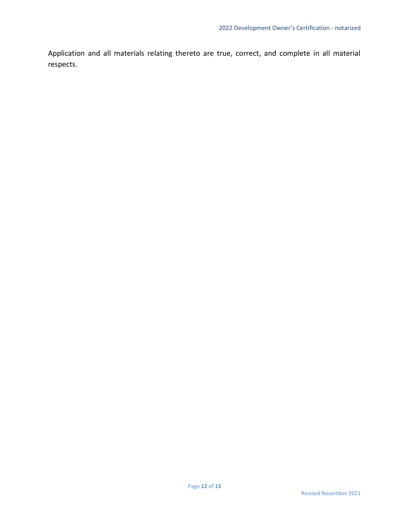Application and all materials relating thereto are true, correct, and complete in all material respects.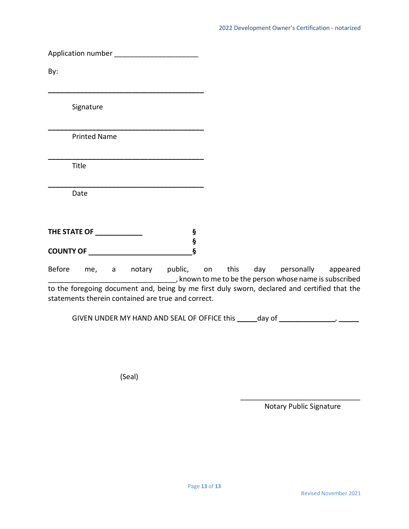Application number \_\_\_\_\_\_\_\_\_\_\_\_\_\_\_\_\_\_\_\_\_

**\_\_\_\_\_\_\_\_\_\_\_\_\_\_\_\_\_\_\_\_\_\_\_\_\_\_\_\_\_\_\_\_\_\_\_\_\_\_\_**

**\_\_\_\_\_\_\_\_\_\_\_\_\_\_\_\_\_\_\_\_\_\_\_\_\_\_\_\_\_\_\_\_\_\_\_\_\_\_\_**

**\_\_\_\_\_\_\_\_\_\_\_\_\_\_\_\_\_\_\_\_\_\_\_\_\_\_\_\_\_\_\_\_\_\_\_\_\_\_\_** 

**\_\_\_\_\_\_\_\_\_\_\_\_\_\_\_\_\_\_\_\_\_\_\_\_\_\_\_\_\_\_\_\_\_\_\_\_\_\_\_**

By:

Signature

Printed Name

Title

Date

| THE STATE OF     |  |
|------------------|--|
|                  |  |
| <b>COUNTY OF</b> |  |

Before me, a notary public, on this day personally appeared \_\_\_\_\_\_\_\_\_\_\_\_\_\_\_\_\_\_\_\_\_\_\_\_\_\_\_\_\_\_\_\_, known to me to be the person whose name is subscribed to the foregoing document and, being by me first duly sworn, declared and certified that the statements therein contained are true and correct.

GIVEN UNDER MY HAND AND SEAL OF OFFICE this **\_\_\_\_\_**day of **\_\_\_\_\_\_\_\_\_\_\_\_\_\_**, **\_\_\_\_\_**

(Seal)

 $\overline{\phantom{a}}$  , where  $\overline{\phantom{a}}$  , where  $\overline{\phantom{a}}$  , where  $\overline{\phantom{a}}$ Notary Public Signature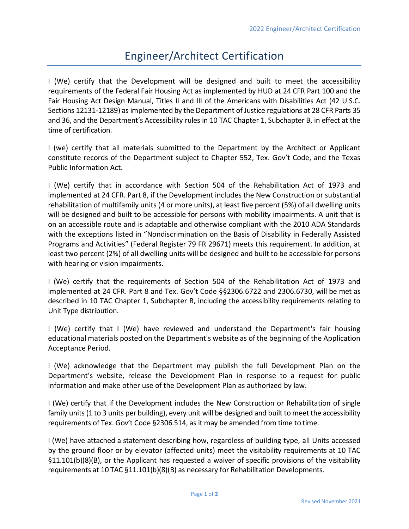# Engineer/Architect Certification

I (We) certify that the Development will be designed and built to meet the accessibility requirements of the Federal Fair Housing Act as implemented by HUD at 24 CFR Part 100 and the Fair Housing Act Design Manual, Titles II and III of the Americans with Disabilities Act (42 U.S.C. Sections 12131-12189) as implemented by the Department of Justice regulations at 28 CFR Parts 35 and 36, and the Department's Accessibility rules in 10 TAC Chapter 1, Subchapter B, in effect at the time of certification.

I (we) certify that all materials submitted to the Department by the Architect or Applicant constitute records of the Department subject to Chapter 552, Tex. Gov't Code, and the Texas Public Information Act.

I (We) certify that in accordance with Section 504 of the Rehabilitation Act of 1973 and implemented at 24 CFR. Part 8, if the Development includes the New Construction or substantial rehabilitation of multifamily units (4 or more units), at least five percent (5%) of all dwelling units will be designed and built to be accessible for persons with mobility impairments. A unit that is on an accessible route and is adaptable and otherwise compliant with the 2010 ADA Standards with the exceptions listed in "Nondiscrimination on the Basis of Disability in Federally Assisted Programs and Activities" (Federal Register 79 FR 29671) meets this requirement. In addition, at least two percent (2%) of all dwelling units will be designed and built to be accessible for persons with hearing or vision impairments.

I (We) certify that the requirements of Section 504 of the Rehabilitation Act of 1973 and implemented at 24 CFR. Part 8 and Tex. Gov't Code §§2306.6722 and 2306.6730, will be met as described in 10 TAC Chapter 1, Subchapter B, including the accessibility requirements relating to Unit Type distribution.

I (We) certify that I (We) have reviewed and understand the Department's fair housing educational materials posted on the Department's website as of the beginning of the Application Acceptance Period.

I (We) acknowledge that the Department may publish the full Development Plan on the Department's website, release the Development Plan in response to a request for public information and make other use of the Development Plan as authorized by law.

I (We) certify that if the Development includes the New Construction or Rehabilitation of single family units (1 to 3 units per building), every unit will be designed and built to meet the accessibility requirements of Tex. Gov't Code §2306.514, as it may be amended from time to time.

I (We) have attached a statement describing how, regardless of building type, all Units accessed by the ground floor or by elevator (affected units) meet the visitability requirements at 10 TAC §11.101(b)(8)(B), or the Applicant has requested a waiver of specific provisions of the visitability requirements at 10 TAC §11.101(b)(8)(B) as necessary for Rehabilitation Developments.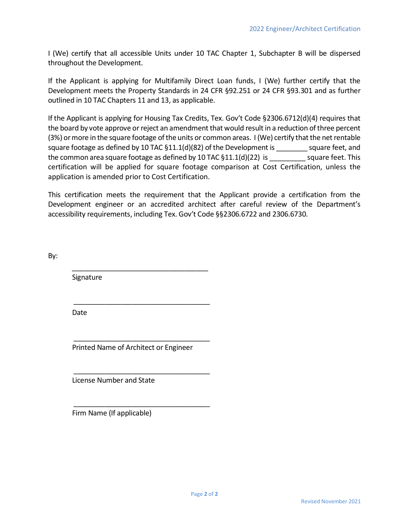I (We) certify that all accessible Units under 10 TAC Chapter 1, Subchapter B will be dispersed throughout the Development.

If the Applicant is applying for Multifamily Direct Loan funds, I (We) further certify that the Development meets the Property Standards in 24 CFR §92.251 or 24 CFR §93.301 and as further outlined in 10 TAC Chapters 11 and 13, as applicable.

If the Applicant is applying for Housing Tax Credits, Tex. Gov't Code §2306.6712(d)(4) requires that the board by vote approve or reject an amendment that would result in a reduction ofthree percent (3%) or more in the square footage of the units or common areas. I (We) certify that the net rentable square footage as defined by 10 TAC §11.1(d)(82) of the Development is \_\_\_\_\_\_\_\_ square feet, and the common area square footage as defined by 10 TAC  $\S 11.1(d)(22)$  is square feet. This certification will be applied for square footage comparison at Cost Certification, unless the application is amended prior to Cost Certification.

This certification meets the requirement that the Applicant provide a certification from the Development engineer or an accredited architect after careful review of the Department's accessibility requirements, including Tex. Gov't Code §§2306.6722 and 2306.6730.

By:

**Signature** 

Date

 $\frac{1}{\sqrt{2}}$  ,  $\frac{1}{\sqrt{2}}$  ,  $\frac{1}{\sqrt{2}}$  ,  $\frac{1}{\sqrt{2}}$  ,  $\frac{1}{\sqrt{2}}$  ,  $\frac{1}{\sqrt{2}}$  ,  $\frac{1}{\sqrt{2}}$  ,  $\frac{1}{\sqrt{2}}$  ,  $\frac{1}{\sqrt{2}}$  ,  $\frac{1}{\sqrt{2}}$  ,  $\frac{1}{\sqrt{2}}$  ,  $\frac{1}{\sqrt{2}}$  ,  $\frac{1}{\sqrt{2}}$  ,  $\frac{1}{\sqrt{2}}$  ,  $\frac{1}{\sqrt{2}}$ Printed Name of Architect or Engineer

 $\frac{1}{\sqrt{2}}$  ,  $\frac{1}{\sqrt{2}}$  ,  $\frac{1}{\sqrt{2}}$  ,  $\frac{1}{\sqrt{2}}$  ,  $\frac{1}{\sqrt{2}}$  ,  $\frac{1}{\sqrt{2}}$  ,  $\frac{1}{\sqrt{2}}$  ,  $\frac{1}{\sqrt{2}}$  ,  $\frac{1}{\sqrt{2}}$  ,  $\frac{1}{\sqrt{2}}$  ,  $\frac{1}{\sqrt{2}}$  ,  $\frac{1}{\sqrt{2}}$  ,  $\frac{1}{\sqrt{2}}$  ,  $\frac{1}{\sqrt{2}}$  ,  $\frac{1}{\sqrt{2}}$ 

 $\frac{1}{\sqrt{2}}$  ,  $\frac{1}{\sqrt{2}}$  ,  $\frac{1}{\sqrt{2}}$  ,  $\frac{1}{\sqrt{2}}$  ,  $\frac{1}{\sqrt{2}}$  ,  $\frac{1}{\sqrt{2}}$  ,  $\frac{1}{\sqrt{2}}$  ,  $\frac{1}{\sqrt{2}}$  ,  $\frac{1}{\sqrt{2}}$  ,  $\frac{1}{\sqrt{2}}$  ,  $\frac{1}{\sqrt{2}}$  ,  $\frac{1}{\sqrt{2}}$  ,  $\frac{1}{\sqrt{2}}$  ,  $\frac{1}{\sqrt{2}}$  ,  $\frac{1}{\sqrt{2}}$ 

 $\frac{1}{\sqrt{2}}$  ,  $\frac{1}{\sqrt{2}}$  ,  $\frac{1}{\sqrt{2}}$  ,  $\frac{1}{\sqrt{2}}$  ,  $\frac{1}{\sqrt{2}}$  ,  $\frac{1}{\sqrt{2}}$  ,  $\frac{1}{\sqrt{2}}$  ,  $\frac{1}{\sqrt{2}}$  ,  $\frac{1}{\sqrt{2}}$  ,  $\frac{1}{\sqrt{2}}$  ,  $\frac{1}{\sqrt{2}}$  ,  $\frac{1}{\sqrt{2}}$  ,  $\frac{1}{\sqrt{2}}$  ,  $\frac{1}{\sqrt{2}}$  ,  $\frac{1}{\sqrt{2}}$ 

 $\frac{1}{\sqrt{2}}$  ,  $\frac{1}{\sqrt{2}}$  ,  $\frac{1}{\sqrt{2}}$  ,  $\frac{1}{\sqrt{2}}$  ,  $\frac{1}{\sqrt{2}}$  ,  $\frac{1}{\sqrt{2}}$  ,  $\frac{1}{\sqrt{2}}$  ,  $\frac{1}{\sqrt{2}}$  ,  $\frac{1}{\sqrt{2}}$  ,  $\frac{1}{\sqrt{2}}$  ,  $\frac{1}{\sqrt{2}}$  ,  $\frac{1}{\sqrt{2}}$  ,  $\frac{1}{\sqrt{2}}$  ,  $\frac{1}{\sqrt{2}}$  ,  $\frac{1}{\sqrt{2}}$ 

License Number and State

Firm Name (If applicable)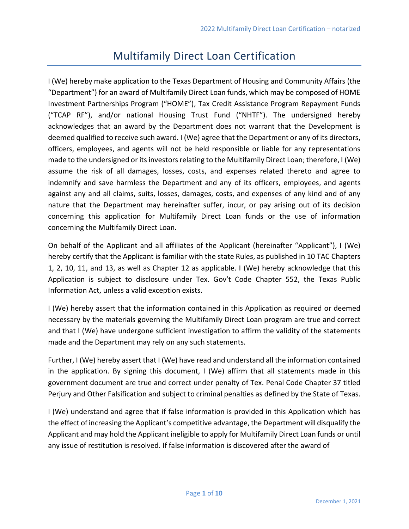# Multifamily Direct Loan Certification

I (We) hereby make application to the Texas Department of Housing and Community Affairs (the "Department") for an award of Multifamily Direct Loan funds, which may be composed of HOME Investment Partnerships Program ("HOME"), Tax Credit Assistance Program Repayment Funds ("TCAP RF"), and/or national Housing Trust Fund ("NHTF"). The undersigned hereby acknowledges that an award by the Department does not warrant that the Development is deemed qualified to receive such award. I (We) agree that the Department or any of its directors, officers, employees, and agents will not be held responsible or liable for any representations made to the undersigned or its investors relating to the Multifamily Direct Loan; therefore, I (We) assume the risk of all damages, losses, costs, and expenses related thereto and agree to indemnify and save harmless the Department and any of its officers, employees, and agents against any and all claims, suits, losses, damages, costs, and expenses of any kind and of any nature that the Department may hereinafter suffer, incur, or pay arising out of its decision concerning this application for Multifamily Direct Loan funds or the use of information concerning the Multifamily Direct Loan.

On behalf of the Applicant and all affiliates of the Applicant (hereinafter "Applicant"), I (We) hereby certify that the Applicant is familiar with the state Rules, as published in 10 TAC Chapters 1, 2, 10, 11, and 13, as well as Chapter 12 as applicable. I (We) hereby acknowledge that this Application is subject to disclosure under Tex. Gov't Code Chapter 552, the Texas Public Information Act, unless a valid exception exists.

I (We) hereby assert that the information contained in this Application as required or deemed necessary by the materials governing the Multifamily Direct Loan program are true and correct and that I (We) have undergone sufficient investigation to affirm the validity of the statements made and the Department may rely on any such statements.

Further, I (We) hereby assert that I (We) have read and understand all the information contained in the application. By signing this document, I (We) affirm that all statements made in this government document are true and correct under penalty of Tex. Penal Code Chapter 37 titled Perjury and Other Falsification and subject to criminal penalties as defined by the State of Texas.

I (We) understand and agree that if false information is provided in this Application which has the effect of increasing the Applicant's competitive advantage, the Department will disqualify the Applicant and may hold the Applicant ineligible to apply for Multifamily Direct Loan funds or until any issue of restitution is resolved. If false information is discovered after the award of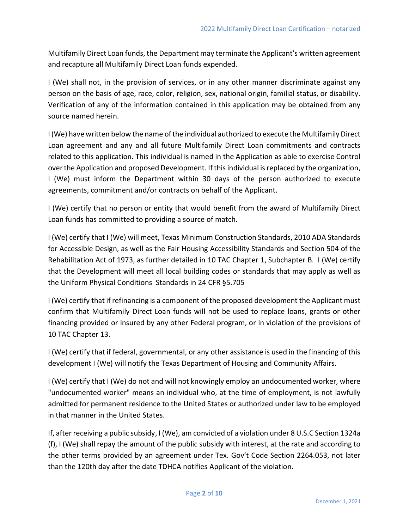Multifamily Direct Loan funds, the Department may terminate the Applicant's written agreement and recapture all Multifamily Direct Loan funds expended.

I (We) shall not, in the provision of services, or in any other manner discriminate against any person on the basis of age, race, color, religion, sex, national origin, familial status, or disability. Verification of any of the information contained in this application may be obtained from any source named herein.

I (We) have written below the name of the individual authorized to execute the Multifamily Direct Loan agreement and any and all future Multifamily Direct Loan commitments and contracts related to this application. This individual is named in the Application as able to exercise Control over the Application and proposed Development. If this individual is replaced by the organization, I (We) must inform the Department within 30 days of the person authorized to execute agreements, commitment and/or contracts on behalf of the Applicant.

I (We) certify that no person or entity that would benefit from the award of Multifamily Direct Loan funds has committed to providing a source of match.

I (We) certify that I (We) will meet, Texas Minimum Construction Standards, 2010 ADA Standards for Accessible Design, as well as the Fair Housing Accessibility Standards and Section 504 of the Rehabilitation Act of 1973, as further detailed in 10 TAC Chapter 1, Subchapter B. I (We) certify that the Development will meet all local building codes or standards that may apply as well as the Uniform Physical Conditions Standards in 24 CFR §5.705

I (We) certify that if refinancing is a component of the proposed development the Applicant must confirm that Multifamily Direct Loan funds will not be used to replace loans, grants or other financing provided or insured by any other Federal program, or in violation of the provisions of 10 TAC Chapter 13.

I (We) certify that if federal, governmental, or any other assistance is used in the financing of this development I (We) will notify the Texas Department of Housing and Community Affairs.

I (We) certify that I (We) do not and will not knowingly employ an undocumented worker, where "undocumented worker" means an individual who, at the time of employment, is not lawfully admitted for permanent residence to the United States or authorized under law to be employed in that manner in the United States.

If, after receiving a public subsidy, I (We), am convicted of a violation under 8 U.S.C Section 1324a (f), I (We) shall repay the amount of the public subsidy with interest, at the rate and according to the other terms provided by an agreement under Tex. Gov't Code Section 2264.053, not later than the 120th day after the date TDHCA notifies Applicant of the violation.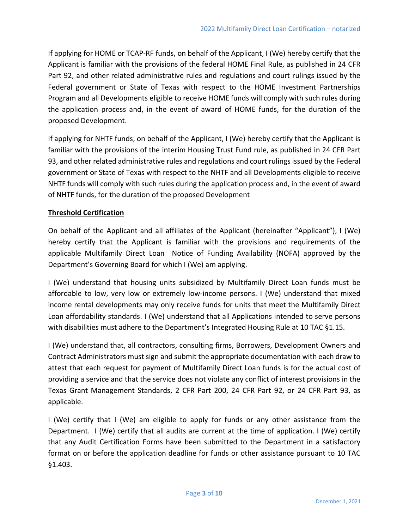If applying for HOME or TCAP-RF funds, on behalf of the Applicant, I (We) hereby certify that the Applicant is familiar with the provisions of the federal HOME Final Rule, as published in 24 CFR Part 92, and other related administrative rules and regulations and court rulings issued by the Federal government or State of Texas with respect to the HOME Investment Partnerships Program and all Developments eligible to receive HOME funds will comply with such rules during the application process and, in the event of award of HOME funds, for the duration of the proposed Development.

If applying for NHTF funds, on behalf of the Applicant, I (We) hereby certify that the Applicant is familiar with the provisions of the interim Housing Trust Fund rule, as published in 24 CFR Part 93, and other related administrative rules and regulations and court rulings issued by the Federal government or State of Texas with respect to the NHTF and all Developments eligible to receive NHTF funds will comply with such rules during the application process and, in the event of award of NHTF funds, for the duration of the proposed Development

# **Threshold Certification**

On behalf of the Applicant and all affiliates of the Applicant (hereinafter "Applicant"), I (We) hereby certify that the Applicant is familiar with the provisions and requirements of the applicable Multifamily Direct Loan Notice of Funding Availability (NOFA) approved by the Department's Governing Board for which I (We) am applying.

I (We) understand that housing units subsidized by Multifamily Direct Loan funds must be affordable to low, very low or extremely low-income persons. I (We) understand that mixed income rental developments may only receive funds for units that meet the Multifamily Direct Loan affordability standards. I (We) understand that all Applications intended to serve persons with disabilities must adhere to the Department's Integrated Housing Rule at 10 TAC §1.15.

I (We) understand that, all contractors, consulting firms, Borrowers, Development Owners and Contract Administrators must sign and submit the appropriate documentation with each draw to attest that each request for payment of Multifamily Direct Loan funds is for the actual cost of providing a service and that the service does not violate any conflict of interest provisions in the Texas Grant Management Standards, 2 CFR Part 200, 24 CFR Part 92, or 24 CFR Part 93, as applicable.

I (We) certify that I (We) am eligible to apply for funds or any other assistance from the Department. I (We) certify that all audits are current at the time of application. I (We) certify that any Audit Certification Forms have been submitted to the Department in a satisfactory format on or before the application deadline for funds or other assistance pursuant to 10 TAC §1.403.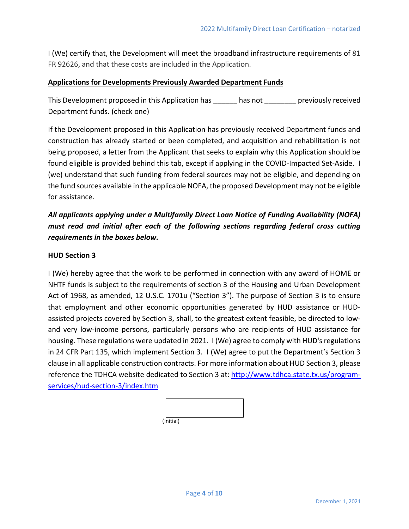I (We) certify that, the Development will meet the broadband infrastructure requirements of 81 FR 92626, and that these costs are included in the Application.

# **Applications for Developments Previously Awarded Department Funds**

This Development proposed in this Application has has not previously received Department funds. (check one)

If the Development proposed in this Application has previously received Department funds and construction has already started or been completed, and acquisition and rehabilitation is not being proposed, a letter from the Applicant that seeks to explain why this Application should be found eligible is provided behind this tab, except if applying in the COVID-Impacted Set-Aside. I (we) understand that such funding from federal sources may not be eligible, and depending on the fund sources available in the applicable NOFA, the proposed Development may not be eligible for assistance.

*All applicants applying under a Multifamily Direct Loan Notice of Funding Availability (NOFA) must read and initial after each of the following sections regarding federal cross cutting requirements in the boxes below.* 

# **HUD Section 3**

I (We) hereby agree that the work to be performed in connection with any award of HOME or NHTF funds is subject to the requirements of section 3 of the Housing and Urban Development Act of 1968, as amended, 12 U.S.C. 1701u ("Section 3"). The purpose of Section 3 is to ensure that employment and other economic opportunities generated by HUD assistance or HUDassisted projects covered by Section 3, shall, to the greatest extent feasible, be directed to lowand very low-income persons, particularly persons who are recipients of HUD assistance for housing. These regulations were updated in 2021. I (We) agree to comply with HUD's regulations in 24 CFR Part 135, which implement Section 3. I (We) agree to put the Department's Section 3 clause in all applicable construction contracts. For more information about HUD Section 3, please reference the TDHCA website dedicated to Section 3 at: [http://www.tdhca.state.tx.us/program](http://www.tdhca.state.tx.us/program-services/hud-section-3/index.htm)[services/hud-section-3/index.htm](http://www.tdhca.state.tx.us/program-services/hud-section-3/index.htm)

| $\{initial\}$ |  |  |  |
|---------------|--|--|--|

(initial)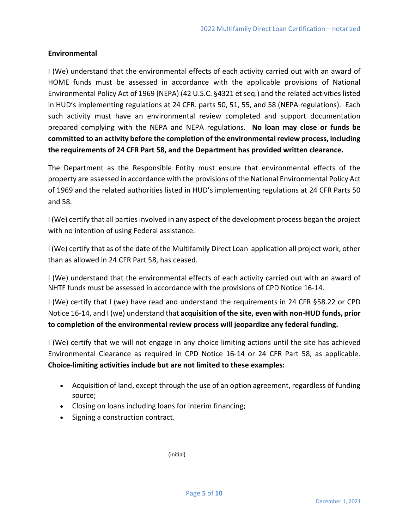### **Environmental**

I (We) understand that the environmental effects of each activity carried out with an award of HOME funds must be assessed in accordance with the applicable provisions of National Environmental Policy Act of 1969 (NEPA) (42 U.S.C. §4321 et seq.) and the related activities listed in HUD's implementing regulations at 24 CFR. parts 50, 51, 55, and 58 (NEPA regulations). Each such activity must have an environmental review completed and support documentation prepared complying with the NEPA and NEPA regulations. **No loan may close or funds be committed to an activity before the completion of the environmental review process, including the requirements of 24 CFR Part 58, and the Department has provided written clearance.**

The Department as the Responsible Entity must ensure that environmental effects of the property are assessed in accordance with the provisions of the National Environmental Policy Act of 1969 and the related authorities listed in HUD's implementing regulations at 24 CFR Parts 50 and 58.

I (We) certify that all parties involved in any aspect of the development process began the project with no intention of using Federal assistance.

I (We) certify that as of the date of the Multifamily Direct Loan application all project work, other than as allowed in 24 CFR Part 58, has ceased.

I (We) understand that the environmental effects of each activity carried out with an award of NHTF funds must be assessed in accordance with the provisions of CPD Notice 16-14.

I (We) certify that I (we) have read and understand the requirements in 24 CFR §58.22 or CPD Notice 16-14, and I (we) understand that **acquisition of the site, even with non-HUD funds, prior to completion of the environmental review process will jeopardize any federal funding.**

I (We) certify that we will not engage in any choice limiting actions until the site has achieved Environmental Clearance as required in CPD Notice 16-14 or 24 CFR Part 58, as applicable. **Choice-limiting activities include but are not limited to these examples:**

- Acquisition of land, except through the use of an option agreement, regardless of funding source;
- Closing on loans including loans for interim financing;
- Signing a construction contract.

| (initial) |  |  |
|-----------|--|--|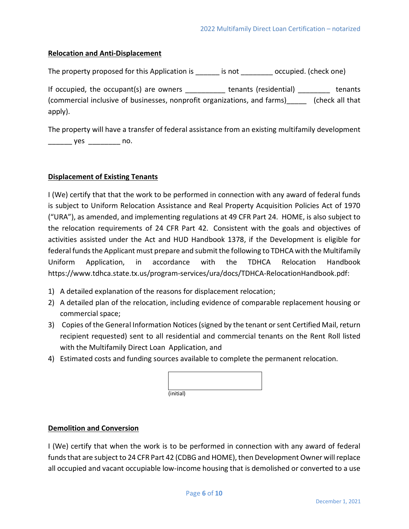### **Relocation and Anti-Displacement**

The property proposed for this Application is each is not occupied. (check one)

If occupied, the occupant(s) are owners \_\_\_\_\_\_\_\_\_\_ tenants (residential) \_\_\_\_\_\_\_ tenants (commercial inclusive of businesses, nonprofit organizations, and farms)\_\_\_\_\_ (check all that apply).

The property will have a transfer of federal assistance from an existing multifamily development \_\_\_\_\_\_\_\_\_\_\_ yes \_\_\_\_\_\_\_\_\_\_\_ no.

### **Displacement of Existing Tenants**

I (We) certify that that the work to be performed in connection with any award of federal funds is subject to Uniform Relocation Assistance and Real Property Acquisition Policies Act of 1970 ("URA"), as amended, and implementing regulations at 49 CFR Part 24. HOME, is also subject to the relocation requirements of 24 CFR Part 42. Consistent with the goals and objectives of activities assisted under the Act and HUD Handbook 1378, if the Development is eligible for federal funds the Applicant must prepare and submit the following to TDHCA with the Multifamily Uniform Application, in accordance with the TDHCA Relocation Handbook https://www.tdhca.state.tx.us/program-services/ura/docs/TDHCA-RelocationHandbook.pdf:

- 1) A detailed explanation of the reasons for displacement relocation;
- 2) A detailed plan of the relocation, including evidence of comparable replacement housing or commercial space;
- 3) Copies of the General Information Notices(signed by the tenant or sent Certified Mail, return recipient requested) sent to all residential and commercial tenants on the Rent Roll listed with the Multifamily Direct Loan Application, and
- 4) Estimated costs and funding sources available to complete the permanent relocation.

| (initial) |  |  |  |
|-----------|--|--|--|

# **Demolition and Conversion**

I (We) certify that when the work is to be performed in connection with any award of federal funds that are subject to 24 CFR Part 42 (CDBG and HOME), then Development Owner will replace all occupied and vacant occupiable low-income housing that is demolished or converted to a use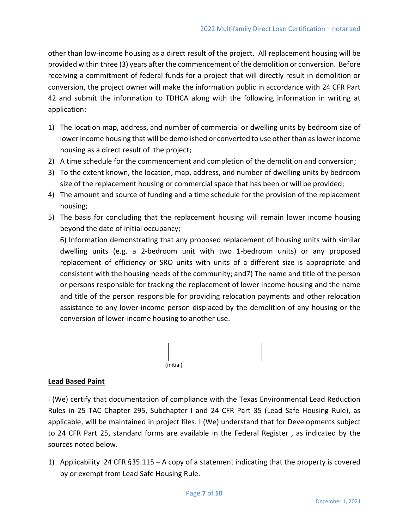other than low-income housing as a direct result of the project. All replacement housing will be provided within three (3) years after the commencement of the demolition or conversion. Before receiving a commitment of federal funds for a project that will directly result in demolition or conversion, the project owner will make the information public in accordance with 24 CFR Part 42 and submit the information to TDHCA along with the following information in writing at application:

- 1) The location map, address, and number of commercial or dwelling units by bedroom size of lower income housing that will be demolished or converted to use other than as lower income housing as a direct result of the project;
- 2) A time schedule for the commencement and completion of the demolition and conversion;
- 3) To the extent known, the location, map, address, and number of dwelling units by bedroom size of the replacement housing or commercial space that has been or will be provided;
- 4) The amount and source of funding and a time schedule for the provision of the replacement housing;
- 5) The basis for concluding that the replacement housing will remain lower income housing beyond the date of initial occupancy;

6) Information demonstrating that any proposed replacement of housing units with similar dwelling units (e.g. a 2-bedroom unit with two 1-bedroom units) or any proposed replacement of efficiency or SRO units with units of a different size is appropriate and consistent with the housing needs of the community; and7) The name and title of the person or persons responsible for tracking the replacement of lower income housing and the name and title of the person responsible for providing relocation payments and other relocation assistance to any lower-income person displaced by the demolition of any housing or the conversion of lower-income housing to another use.

| (initial) |  |  |
|-----------|--|--|

# **Lead Based Paint**

I (We) certify that documentation of compliance with the Texas Environmental Lead Reduction Rules in 25 TAC Chapter 295, Subchapter I and 24 CFR Part 35 (Lead Safe Housing Rule), as applicable, will be maintained in project files. I (We) understand that for Developments subject to 24 CFR Part 25, standard forms are available in the Federal Register , as indicated by the sources noted below.

1) Applicability 24 CFR §35.115 – A copy of a statement indicating that the property is covered by or exempt from Lead Safe Housing Rule.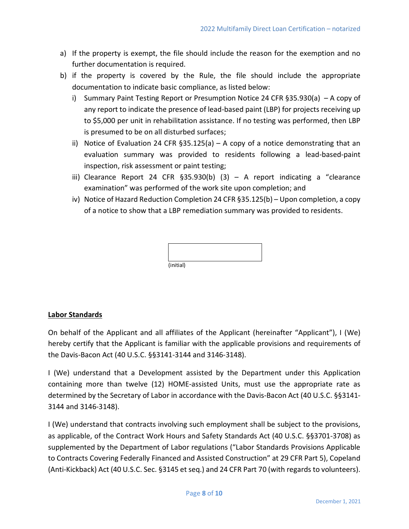- a) If the property is exempt, the file should include the reason for the exemption and no further documentation is required.
- b) if the property is covered by the Rule, the file should include the appropriate documentation to indicate basic compliance, as listed below:
	- i) Summary Paint Testing Report or Presumption Notice 24 CFR §35.930(a) A copy of any report to indicate the presence of lead-based paint (LBP) for projects receiving up to \$5,000 per unit in rehabilitation assistance. If no testing was performed, then LBP is presumed to be on all disturbed surfaces;
	- ii) Notice of Evaluation 24 CFR  $\S 35.125(a) A$  copy of a notice demonstrating that an evaluation summary was provided to residents following a lead-based-paint inspection, risk assessment or paint testing;
	- iii) Clearance Report 24 CFR  $§35.930(b)$  (3) A report indicating a "clearance examination" was performed of the work site upon completion; and
	- iv) Notice of Hazard Reduction Completion 24 CFR §35.125(b) Upon completion, a copy of a notice to show that a LBP remediation summary was provided to residents.

| (initial) |  |  |  |
|-----------|--|--|--|

# **Labor Standards**

On behalf of the Applicant and all affiliates of the Applicant (hereinafter "Applicant"), I (We) hereby certify that the Applicant is familiar with the applicable provisions and requirements of the Davis-Bacon Act (40 U.S.C. §§3141-3144 and 3146-3148).

I (We) understand that a Development assisted by the Department under this Application containing more than twelve (12) HOME-assisted Units, must use the appropriate rate as determined by the Secretary of Labor in accordance with the Davis-Bacon Act (40 U.S.C. §§3141- 3144 and 3146-3148).

I (We) understand that contracts involving such employment shall be subject to the provisions, as applicable, of the Contract Work Hours and Safety Standards Act (40 U.S.C. §§3701-3708) as supplemented by the Department of Labor regulations ("Labor Standards Provisions Applicable to Contracts Covering Federally Financed and Assisted Construction" at 29 CFR Part 5), Copeland (Anti-Kickback) Act (40 U.S.C. Sec. §3145 et seq.) and 24 CFR Part 70 (with regards to volunteers).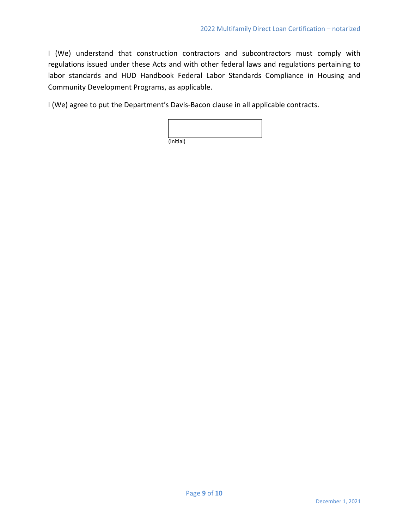I (We) understand that construction contractors and subcontractors must comply with regulations issued under these Acts and with other federal laws and regulations pertaining to labor standards and HUD Handbook Federal Labor Standards Compliance in Housing and Community Development Programs, as applicable.

I (We) agree to put the Department's Davis-Bacon clause in all applicable contracts.

| (initial) |  |  |  |
|-----------|--|--|--|